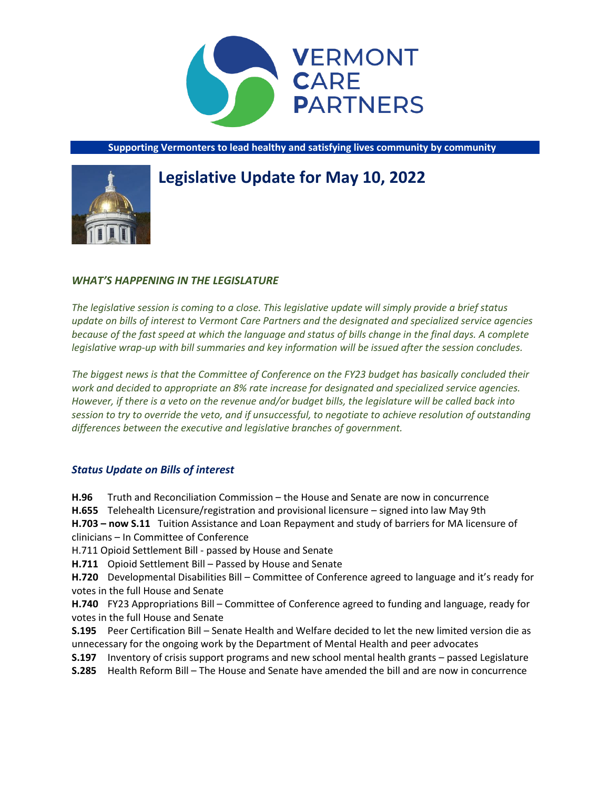

**Supporting Vermonters to lead healthy and satisfying lives community by community**

# **Legislative Update for May 10, 2022**



# *WHAT'S HAPPENING IN THE LEGISLATURE*

*The legislative session is coming to a close. This legislative update will simply provide a brief status update on bills of interest to Vermont Care Partners and the designated and specialized service agencies because of the fast speed at which the language and status of bills change in the final days. A complete legislative wrap-up with bill summaries and key information will be issued after the session concludes.*

*The biggest news is that the Committee of Conference on the FY23 budget has basically concluded their work and decided to appropriate an 8% rate increase for designated and specialized service agencies. However, if there is a veto on the revenue and/or budget bills, the legislature will be called back into session to try to override the veto, and if unsuccessful, to negotiate to achieve resolution of outstanding differences between the executive and legislative branches of government.*

# *Status Update on Bills of interest*

**H.96** Truth and Reconciliation Commission – the House and Senate are now in concurrence **H.655** Telehealth Licensure/registration and provisional licensure – signed into law May 9th **H.703 – now S.11** Tuition Assistance and Loan Repayment and study of barriers for MA licensure of clinicians – In Committee of Conference

H.711 Opioid Settlement Bill - passed by House and Senate

**H.711** Opioid Settlement Bill – Passed by House and Senate

**H.720** Developmental Disabilities Bill – Committee of Conference agreed to language and it's ready for votes in the full House and Senate

**H.740** FY23 Appropriations Bill – Committee of Conference agreed to funding and language, ready for votes in the full House and Senate

**S.195** Peer Certification Bill – Senate Health and Welfare decided to let the new limited version die as unnecessary for the ongoing work by the Department of Mental Health and peer advocates

**S.197** Inventory of crisis support programs and new school mental health grants – passed Legislature

**S.285** Health Reform Bill – The House and Senate have amended the bill and are now in concurrence